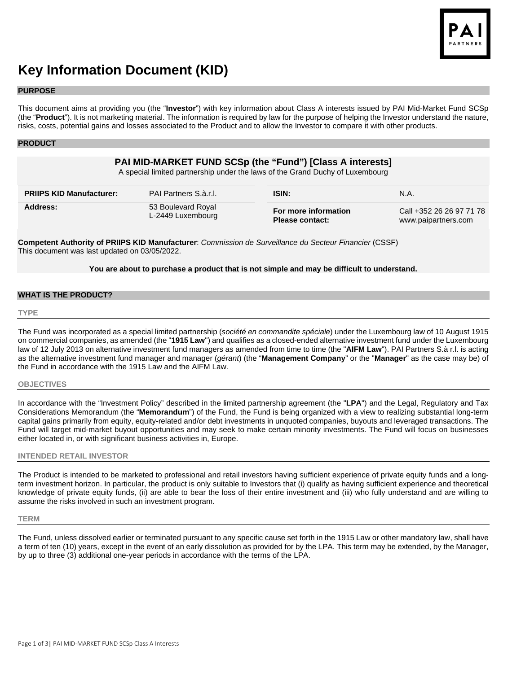

# **Key Information Document (KID)**

### **PURPOSE**

This document aims at providing you (the "**Investor**") with key information about Class A interests issued by PAI Mid-Market Fund SCSp (the "**Product**"). It is not marketing material. The information is required by law for the purpose of helping the Investor understand the nature, risks, costs, potential gains and losses associated to the Product and to allow the Investor to compare it with other products.

## **PRODUCT**

# **PAI MID-MARKET FUND SCSp (the "Fund") [Class A interests]**

A special limited partnership under the laws of the Grand Duchy of Luxembourg

| <b>PRIIPS KID Manufacturer:</b> | PAI Partners S.à.r.l.                   |                                                | N.A.                                            |
|---------------------------------|-----------------------------------------|------------------------------------------------|-------------------------------------------------|
| Address:                        | 53 Boulevard Royal<br>L-2449 Luxembourg | For more information<br><b>Please contact:</b> | Call +352 26 26 97 71 78<br>www.paipartners.com |

**Competent Authority of PRIIPS KID Manufacturer**: *Commission de Surveillance du Secteur Financier* (CSSF) This document was last updated on 03/05/2022.

## **You are about to purchase a product that is not simple and may be difficult to understand.**

## **WHAT IS THE PRODUCT?**

#### **TYPE**

The Fund was incorporated as a special limited partnership (*société en commandite spéciale*) under the Luxembourg law of 10 August 1915 on commercial companies, as amended (the "**1915 Law**") and qualifies as a closed-ended alternative investment fund under the Luxembourg law of 12 July 2013 on alternative investment fund managers as amended from time to time (the "**AIFM Law**"). PAI Partners S.à r.l. is acting as the alternative investment fund manager and manager (*gérant*) (the "**Management Company**" or the "**Manager**" as the case may be) of the Fund in accordance with the 1915 Law and the AIFM Law.

### **OBJECTIVES**

In accordance with the "Investment Policy" described in the limited partnership agreement (the "**LPA**") and the Legal, Regulatory and Tax Considerations Memorandum (the "**Memorandum**") of the Fund, the Fund is being organized with a view to realizing substantial long-term capital gains primarily from equity, equity-related and/or debt investments in unquoted companies, buyouts and leveraged transactions. The Fund will target mid-market buyout opportunities and may seek to make certain minority investments. The Fund will focus on businesses either located in, or with significant business activities in, Europe.

## **INTENDED RETAIL INVESTOR**

The Product is intended to be marketed to professional and retail investors having sufficient experience of private equity funds and a longterm investment horizon. In particular, the product is only suitable to Investors that (i) qualify as having sufficient experience and theoretical knowledge of private equity funds, (ii) are able to bear the loss of their entire investment and (iii) who fully understand and are willing to assume the risks involved in such an investment program.

### **TERM**

The Fund, unless dissolved earlier or terminated pursuant to any specific cause set forth in the 1915 Law or other mandatory law, shall have a term of ten (10) years, except in the event of an early dissolution as provided for by the LPA. This term may be extended, by the Manager, by up to three (3) additional one-year periods in accordance with the terms of the LPA.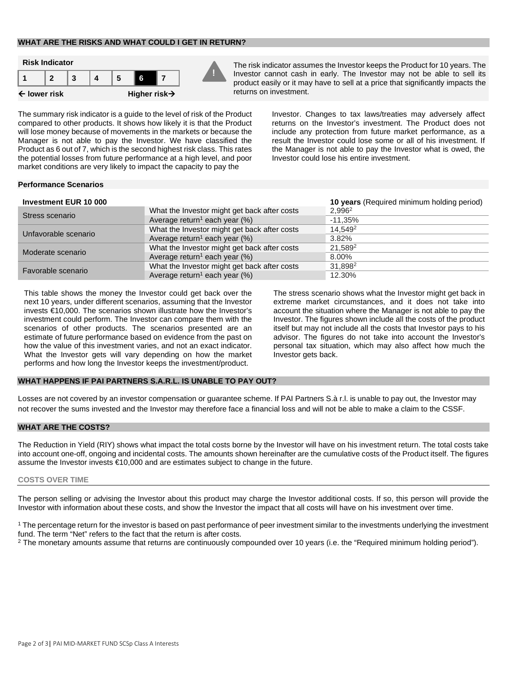## **WHAT ARE THE RISKS AND WHAT COULD I GET IN RETURN?**



Investor cannot cash in early. The Investor may not be able to sell its product easily or it may have to sell at a price that significantly impacts the returns on investment.

The summary risk indicator is a guide to the level of risk of the Product compared to other products. It shows how likely it is that the Product will lose money because of movements in the markets or because the Manager is not able to pay the Investor. We have classified the Product as 6 out of 7, which is the second highest risk class. This rates the potential losses from future performance at a high level, and poor market conditions are very likely to impact the capacity to pay the

Investor. Changes to tax laws/treaties may adversely affect returns on the Investor's investment. The Product does not include any protection from future market performance, as a result the Investor could lose some or all of his investment. If the Manager is not able to pay the Investor what is owed, the Investor could lose his entire investment.

## **Performance Scenarios**

| <b>Investment EUR 10 000</b> |                                              | 10 years (Required minimum holding period) |
|------------------------------|----------------------------------------------|--------------------------------------------|
| Stress scenario              | What the Investor might get back after costs | 2.996 <sup>2</sup>                         |
|                              | Average return <sup>1</sup> each year $(\%)$ | $-11.35\%$                                 |
| Unfavorable scenario         | What the Investor might get back after costs | 14,549 <sup>2</sup>                        |
|                              | Average return <sup>1</sup> each year $(\%)$ | 3.82%                                      |
| Moderate scenario            | What the Investor might get back after costs | 21.589 <sup>2</sup>                        |
|                              | Average return <sup>1</sup> each year $(\%)$ | 8.00%                                      |
| Favorable scenario           | What the Investor might get back after costs | 31.898 <sup>2</sup>                        |
|                              | Average return <sup>1</sup> each year $(\%)$ | 12.30%                                     |

This table shows the money the Investor could get back over the next 10 years, under different scenarios, assuming that the Investor invests €10,000. The scenarios shown illustrate how the Investor's investment could perform. The Investor can compare them with the scenarios of other products. The scenarios presented are an estimate of future performance based on evidence from the past on how the value of this investment varies, and not an exact indicator. What the Investor gets will vary depending on how the market performs and how long the Investor keeps the investment/product.

The stress scenario shows what the Investor might get back in extreme market circumstances, and it does not take into account the situation where the Manager is not able to pay the Investor. The figures shown include all the costs of the product itself but may not include all the costs that Investor pays to his advisor. The figures do not take into account the Investor's personal tax situation, which may also affect how much the Investor gets back.

## **WHAT HAPPENS IF PAI PARTNERS S.A.R.L. IS UNABLE TO PAY OUT?**

Losses are not covered by an investor compensation or guarantee scheme. If PAI Partners S.à r.l. is unable to pay out, the Investor may not recover the sums invested and the Investor may therefore face a financial loss and will not be able to make a claim to the CSSF.

### **WHAT ARE THE COSTS?**

The Reduction in Yield (RIY) shows what impact the total costs borne by the Investor will have on his investment return. The total costs take into account one-off, ongoing and incidental costs. The amounts shown hereinafter are the cumulative costs of the Product itself. The figures assume the Investor invests €10,000 and are estimates subject to change in the future.

#### **COSTS OVER TIME**

The person selling or advising the Investor about this product may charge the Investor additional costs. If so, this person will provide the Investor with information about these costs, and show the Investor the impact that all costs will have on his investment over time.

<sup>1</sup> The percentage return for the investor is based on past performance of peer investment similar to the investments underlying the investment fund. The term "Net" refers to the fact that the return is after costs.

<sup>2</sup> The monetary amounts assume that returns are continuously compounded over 10 years (i.e. the "Required minimum holding period").